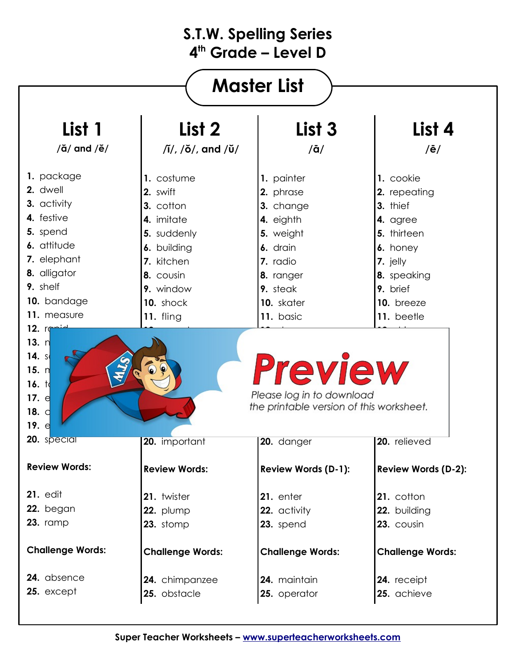| <b>Master List</b>                                                                                                |                              |                                                                       |                            |  |
|-------------------------------------------------------------------------------------------------------------------|------------------------------|-----------------------------------------------------------------------|----------------------------|--|
| List 1                                                                                                            | List 2                       | List <sub>3</sub>                                                     | List 4                     |  |
| $/\check{a}/$ and $/\check{e}/$                                                                                   | $\pi/$ , $\pi/$ , and $\pi/$ | $/\bar{a}/$                                                           | $/\bar{e}/$                |  |
| 1. package                                                                                                        | 1. costume                   | 1. painter                                                            | 1. cookie                  |  |
| 2. dwell                                                                                                          | 2. swift                     | 2. phrase                                                             | 2. repeating               |  |
| 3. activity                                                                                                       | 3. cotton                    | 3. change                                                             | 3. thief                   |  |
| 4. festive                                                                                                        | 4. imitate                   | 4. eighth                                                             | 4. agree                   |  |
| 5. spend                                                                                                          | 5. suddenly                  | 5. weight                                                             | 5. thirteen                |  |
| 6. attitude                                                                                                       | 6. building                  | 6. drain                                                              | 6. honey                   |  |
| 7. elephant                                                                                                       | 7. kitchen                   | 7. radio                                                              | 7. jelly                   |  |
| 8. alligator                                                                                                      | 8. cousin                    | 8. ranger                                                             | 8. speaking                |  |
| 9. shelf                                                                                                          | 9. window                    | 9. steak                                                              | 9. brief                   |  |
| 10. bandage                                                                                                       | 10. shock                    | 10. skater                                                            | 10. breeze                 |  |
| 11. measure                                                                                                       | 11. fling                    | 11. basic                                                             | 11. beetle                 |  |
| 15. $n$<br>16. $\frac{1}{4}$                                                                                      |                              | <b>Preview</b>                                                        |                            |  |
|                                                                                                                   |                              | Please log in to download<br>the printable version of this worksheet. |                            |  |
| 17. d<br>18. $\sigma$<br>19. $d$<br>20. special                                                                   | 20. important                | 20. danger                                                            | 20. relieved               |  |
|                                                                                                                   | <b>Review Words:</b>         | <b>Review Words (D-1):</b>                                            | <b>Review Words (D-2):</b> |  |
|                                                                                                                   | 21. twister                  | 21. enter                                                             | 21. cotton                 |  |
|                                                                                                                   | 22. plump                    | 22. activity                                                          | 22. building               |  |
|                                                                                                                   | 23. stomp                    | 23. spend                                                             | 23. cousin                 |  |
|                                                                                                                   | <b>Challenge Words:</b>      | <b>Challenge Words:</b>                                               | <b>Challenge Words:</b>    |  |
| <b>Review Words:</b><br><b>21. edit</b><br>22. began<br><b>23. ramp</b><br><b>Challenge Words:</b><br>24. absence | 24. chimpanzee               | 24. maintain                                                          | 24. receipt                |  |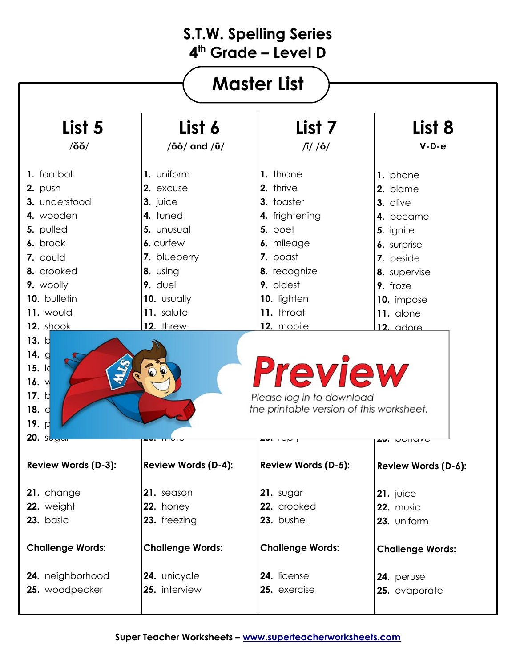| <b>Master List</b>                                                                                                                                                                            |                                    |                            |                         |  |
|-----------------------------------------------------------------------------------------------------------------------------------------------------------------------------------------------|------------------------------------|----------------------------|-------------------------|--|
| List 5                                                                                                                                                                                        | List 6                             | List <sub>7</sub>          | List 8                  |  |
| $/õ\breve{o}/$                                                                                                                                                                                | $/\bar{0}\bar{0}/$ and $/\bar{0}/$ | $\sqrt{i}/\sqrt{6}/$       | $V-D-e$                 |  |
| 1. football                                                                                                                                                                                   | 1. uniform                         | 1. throne                  | 1. phone                |  |
| 2. push                                                                                                                                                                                       | 2. excuse                          | 2. thrive                  | 2. blame                |  |
| 3. understood                                                                                                                                                                                 | 3. juice                           | 3. toaster                 | 3. alive                |  |
| 4. wooden                                                                                                                                                                                     | 4. tuned                           | 4. frightening             | 4. became               |  |
| 5. pulled                                                                                                                                                                                     | 5. unusual                         | 5. poet                    | 5. ignite               |  |
| 6. brook                                                                                                                                                                                      | 6. curfew                          | 6. mileage                 | 6. surprise             |  |
| 7. could                                                                                                                                                                                      | 7. blueberry                       | 7. boast                   | 7. beside               |  |
| 8. crooked                                                                                                                                                                                    | 8. using                           | 8. recognize               | 8. supervise            |  |
| 9. woolly                                                                                                                                                                                     | 9. duel                            | 9. oldest                  | 9. froze                |  |
| 10. bulletin                                                                                                                                                                                  | 10. usually                        | 10. lighten                | 10. impose              |  |
| 11. would                                                                                                                                                                                     | 11. salute                         | 11. throat                 | 11. alone               |  |
| 12. shook                                                                                                                                                                                     | 12. threw                          | 12. mobile                 | 12. adore               |  |
| 13. d<br>14. $g$<br><b>Preview</b><br>15. $  \cdot  $<br>16. $\sqrt{ }$<br>17. $\natural$<br>Please log in to download<br>the printable version of this worksheet.<br>18. $\sigma$<br>19. $ $ |                                    |                            |                         |  |
| 20. sl                                                                                                                                                                                        |                                    |                            | 140. VUIIIVVU           |  |
| <b>Review Words (D-3):</b>                                                                                                                                                                    | <b>Review Words (D-4):</b>         | <b>Review Words (D-5):</b> | Review Words (D-6):     |  |
| 21. change                                                                                                                                                                                    | 21. season                         | 21. sugar                  | $21.$ juice             |  |
| 22. weight                                                                                                                                                                                    | 22. honey                          | 22. crooked                | 22. music               |  |
| 23. basic                                                                                                                                                                                     | 23. freezing                       | 23. bushel                 | 23. uniform             |  |
| <b>Challenge Words:</b>                                                                                                                                                                       | <b>Challenge Words:</b>            | <b>Challenge Words:</b>    | <b>Challenge Words:</b> |  |
| 24. neighborhood                                                                                                                                                                              | 24. unicycle                       | 24. license                | 24. peruse              |  |
| 25. woodpecker                                                                                                                                                                                | 25. interview                      | 25. exercise               | 25. evaporate           |  |
|                                                                                                                                                                                               |                                    |                            |                         |  |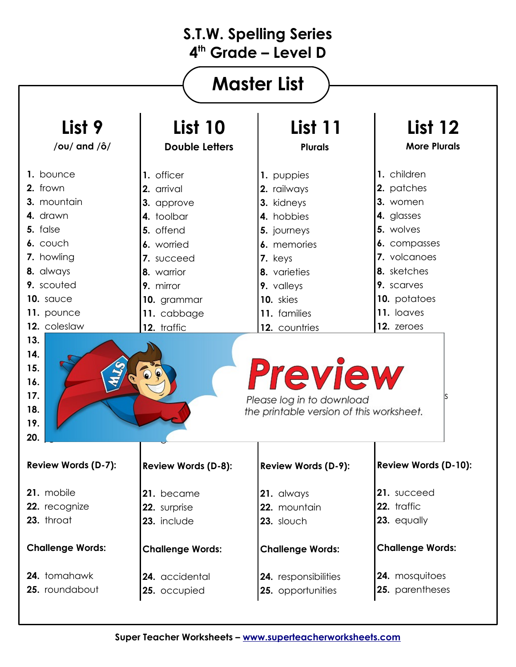# **Master List**

| List 9                                                                                                             | <b>List 10</b>          | List 11                                                                                 | List 12                     |  |
|--------------------------------------------------------------------------------------------------------------------|-------------------------|-----------------------------------------------------------------------------------------|-----------------------------|--|
| /ou/ and $/\hat{o}/$                                                                                               | <b>Double Letters</b>   | <b>Plurals</b>                                                                          | <b>More Plurals</b>         |  |
| 1. bounce                                                                                                          | 1. officer              | 1. puppies                                                                              | 1. children                 |  |
| 2. frown                                                                                                           | 2. arrival              | 2. railways                                                                             | 2. patches                  |  |
| 3. mountain                                                                                                        | 3. approve              | 3. kidneys                                                                              | 3. women                    |  |
| 4. drawn                                                                                                           | 4. toolbar              | 4. hobbies                                                                              | 4. glasses                  |  |
| 5. false                                                                                                           | 5. offend               | 5. journeys                                                                             | 5. wolves                   |  |
| 6. couch                                                                                                           | 6. worried              | 6. memories                                                                             | 6. compasses                |  |
| 7. howling                                                                                                         | 7. succeed              | 7. keys                                                                                 | 7. volcanoes                |  |
| 8. always                                                                                                          | 8. warrior              | 8. varieties                                                                            | 8. sketches                 |  |
| 9. scouted                                                                                                         | 9. mirror               | 9. valleys                                                                              | 9. scarves                  |  |
| 10. sauce                                                                                                          | 10. grammar             | 10. skies                                                                               | 10. potatoes                |  |
| 11. pounce                                                                                                         | 11. cabbage             | 11. families                                                                            | 11. loaves                  |  |
|                                                                                                                    |                         |                                                                                         | 12. zeroes                  |  |
| 12. coleslaw<br>13.<br>14.<br>15.                                                                                  | 12. traffic             | 12. countries                                                                           |                             |  |
| 16.<br>17.<br>18.<br>19.<br>20.                                                                                    |                         | <b>Preview</b><br>Please log in to download<br>the printable version of this worksheet. |                             |  |
|                                                                                                                    | Review Words (D-8):     | Review Words (D-9):                                                                     | <b>Review Words (D-10):</b> |  |
|                                                                                                                    | 21. became              | 21. always                                                                              | 21. succeed                 |  |
|                                                                                                                    | 22. surprise            | 22. mountain                                                                            | 22. traffic                 |  |
|                                                                                                                    | 23. include             | 23. slouch                                                                              | 23. equally                 |  |
|                                                                                                                    | <b>Challenge Words:</b> | <b>Challenge Words:</b>                                                                 | <b>Challenge Words:</b>     |  |
| <b>Review Words (D-7):</b><br>21. mobile<br>22. recognize<br>23. throat<br><b>Challenge Words:</b><br>24. tomahawk | 24. accidental          | 24. responsibilities                                                                    | 24. mosquitoes              |  |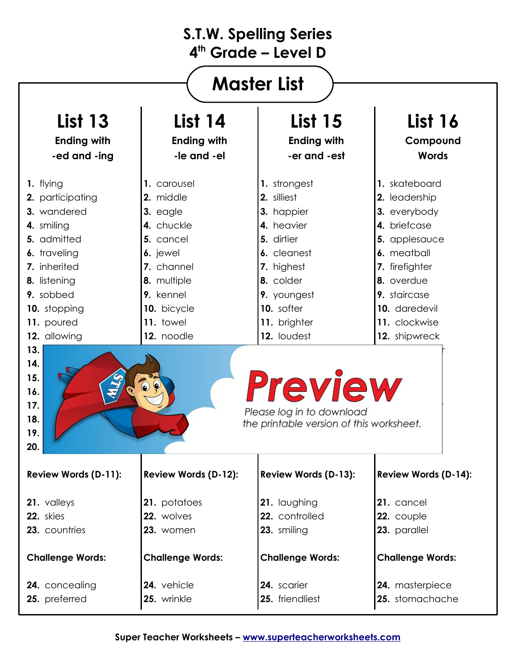| <b>Master List</b>                                                                                                                                                                                                                                     |                                                                                                                                                                 |                                                                                                                                                                             |                                                                                                                                                                                                   |  |
|--------------------------------------------------------------------------------------------------------------------------------------------------------------------------------------------------------------------------------------------------------|-----------------------------------------------------------------------------------------------------------------------------------------------------------------|-----------------------------------------------------------------------------------------------------------------------------------------------------------------------------|---------------------------------------------------------------------------------------------------------------------------------------------------------------------------------------------------|--|
| <b>List 13</b>                                                                                                                                                                                                                                         | <b>List 14</b>                                                                                                                                                  | <b>List 15</b>                                                                                                                                                              | <b>List 16</b>                                                                                                                                                                                    |  |
| <b>Ending with</b>                                                                                                                                                                                                                                     | <b>Ending with</b>                                                                                                                                              | <b>Ending with</b>                                                                                                                                                          | Compound                                                                                                                                                                                          |  |
| -ed and -ing                                                                                                                                                                                                                                           | -le and -el                                                                                                                                                     | -er and -est                                                                                                                                                                | <b>Words</b>                                                                                                                                                                                      |  |
| 1. flying<br>2. participating<br>3. wandered<br>4. smiling<br>5. admitted<br>6. traveling<br>7. inherited<br>8. listening<br>9. sobbed<br>10. stopping<br>11. poured<br>12. allowing<br>13.<br>14.                                                     | 1. carousel<br>2. middle<br>3. eagle<br>4. chuckle<br>5. cancel<br>6. jewel<br>7. channel<br>8. multiple<br>9. kennel<br>10. bicycle<br>11. towel<br>12. noodle | 1. strongest<br>2. silliest<br>3. happier<br>4. heavier<br>5. dirtier<br>6. cleanest<br>7. highest<br>8. colder<br>9. youngest<br>10. softer<br>11. brighter<br>12. loudest | 1. skateboard<br>2. leadership<br>3. everybody<br>4. briefcase<br>5. applesauce<br>6. meatball<br>7. firefighter<br>8. overdue<br>9. staircase<br>10. daredevil<br>11. clockwise<br>12. shipwreck |  |
| 15.<br><b>Preview</b><br>16.<br>17.<br>Please log in to download<br>18.<br>the printable version of this worksheet.<br>19.<br>20.<br>Review Words (D-11):<br><b>Review Words (D-12):</b><br><b>Review Words (D-13):</b><br><b>Review Words (D-14):</b> |                                                                                                                                                                 |                                                                                                                                                                             |                                                                                                                                                                                                   |  |
| 21. valleys                                                                                                                                                                                                                                            | 21. potatoes                                                                                                                                                    | 21. laughing                                                                                                                                                                | 21. cancel                                                                                                                                                                                        |  |
| 22. skies                                                                                                                                                                                                                                              | 22. wolves                                                                                                                                                      | 22. controlled                                                                                                                                                              | 22. couple                                                                                                                                                                                        |  |
| 23. countries                                                                                                                                                                                                                                          | 23. women                                                                                                                                                       | 23. smiling                                                                                                                                                                 | 23. parallel                                                                                                                                                                                      |  |
| <b>Challenge Words:</b>                                                                                                                                                                                                                                | <b>Challenge Words:</b>                                                                                                                                         | <b>Challenge Words:</b>                                                                                                                                                     | <b>Challenge Words:</b>                                                                                                                                                                           |  |
| 24. concealing                                                                                                                                                                                                                                         | 24. vehicle                                                                                                                                                     | 24. scarier                                                                                                                                                                 | 24. masterpiece                                                                                                                                                                                   |  |
| 25. preferred                                                                                                                                                                                                                                          | 25. wrinkle                                                                                                                                                     | 25. friendliest                                                                                                                                                             | 25. stomachache                                                                                                                                                                                   |  |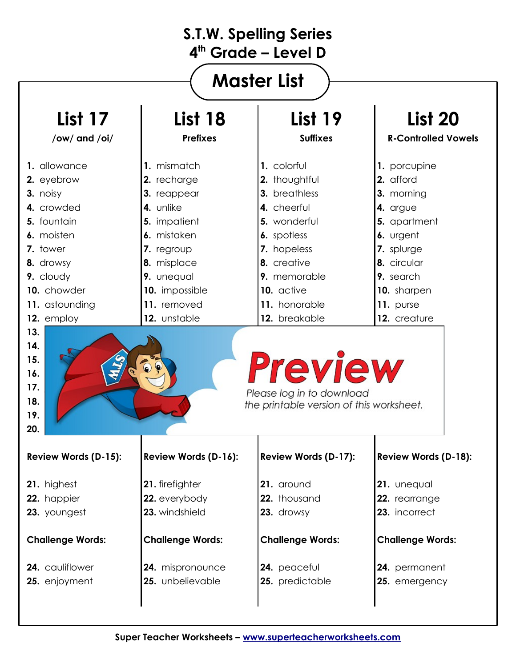| <b>Master List</b>                                                                                                      |                         |                                                                                         |                             |  |
|-------------------------------------------------------------------------------------------------------------------------|-------------------------|-----------------------------------------------------------------------------------------|-----------------------------|--|
| <b>List 17</b>                                                                                                          | <b>List 18</b>          | <b>List 19</b>                                                                          | <b>List 20</b>              |  |
| /ow/ and /oi/                                                                                                           | <b>Prefixes</b>         | <b>Suffixes</b>                                                                         | <b>R-Controlled Vowels</b>  |  |
| 1. allowance                                                                                                            | 1. mismatch             | 1. colorful                                                                             | 1. porcupine                |  |
| 2. eyebrow                                                                                                              | 2. recharge             | 2. thoughtful                                                                           | 2. afford                   |  |
| 3. noisy                                                                                                                | 3. reappear             | 3. breathless                                                                           | 3. morning                  |  |
| 4. crowded                                                                                                              | 4. unlike               | 4. cheerful                                                                             | 4. argue                    |  |
| 5. fountain                                                                                                             | 5. impatient            | 5. wonderful                                                                            | 5. apartment                |  |
| 6. moisten                                                                                                              | 6. mistaken             | 6. spotless                                                                             | 6. urgent                   |  |
| 7. tower                                                                                                                | 7. regroup              | 7. hopeless                                                                             | 7. splurge                  |  |
| 8. drowsy                                                                                                               | 8. misplace             | 8. creative                                                                             | 8. circular                 |  |
| 9. cloudy                                                                                                               | 9. unequal              | 9. memorable                                                                            | 9. search                   |  |
| 10. chowder                                                                                                             | 10. impossible          | 10. active                                                                              | 10. sharpen                 |  |
| 11. astounding                                                                                                          | 11. removed             | 11. honorable                                                                           | 11. purse                   |  |
| 12. employ                                                                                                              | 12. unstable            | 12. breakable                                                                           | 12. creature                |  |
| 13.<br>14.                                                                                                              |                         |                                                                                         |                             |  |
| 15.<br>16.<br>17.<br>18.<br>19.<br>20.                                                                                  |                         | <b>Preview</b><br>Please log in to download<br>the printable version of this worksheet. |                             |  |
|                                                                                                                         | Review Words (D-16):    | Review Words (D-17):                                                                    | <b>Review Words (D-18):</b> |  |
|                                                                                                                         | 21. firefighter         | 21. around                                                                              | 21. unequal                 |  |
|                                                                                                                         | 22. everybody           | 22. thousand                                                                            | 22. rearrange               |  |
|                                                                                                                         | 23. windshield          | 23. drowsy                                                                              | 23. incorrect               |  |
|                                                                                                                         | <b>Challenge Words:</b> | <b>Challenge Words:</b>                                                                 | <b>Challenge Words:</b>     |  |
| <b>Review Words (D-15):</b><br>21. highest<br>22. happier<br>23. youngest<br><b>Challenge Words:</b><br>24. cauliflower | 24. mispronounce        | 24. peaceful                                                                            | 24. permanent               |  |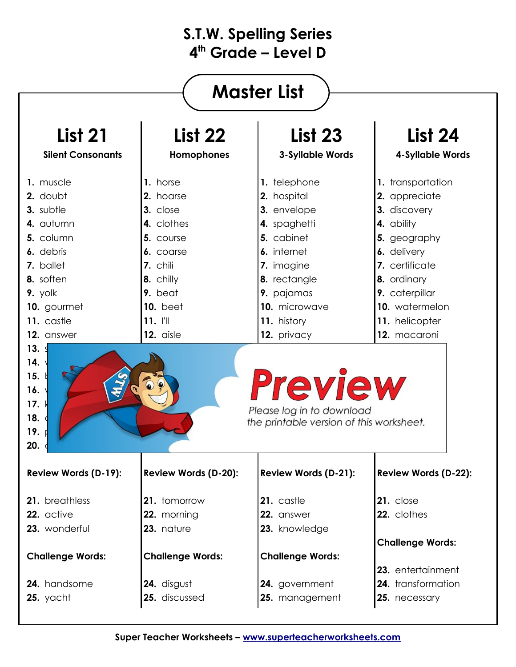| <b>Master List</b>                                                                       |                             |                                                                                  |                             |  |
|------------------------------------------------------------------------------------------|-----------------------------|----------------------------------------------------------------------------------|-----------------------------|--|
| <b>List 21</b>                                                                           | <b>List 22</b>              | <b>List 23</b>                                                                   | <b>List 24</b>              |  |
| <b>Silent Consonants</b>                                                                 | Homophones                  | <b>3-Syllable Words</b>                                                          | 4-Syllable Words            |  |
| 1. muscle                                                                                | 1. horse                    | 1. telephone                                                                     | 1. transportation           |  |
| 2. doubt                                                                                 | 2. hoarse                   | 2. hospital                                                                      | 2. appreciate               |  |
| 3. subtle                                                                                | 3. close                    | 3. envelope                                                                      | 3. discovery                |  |
| 4. autumn                                                                                | 4. clothes                  | 4. spaghetti                                                                     | 4. ability                  |  |
| 5. column                                                                                | 5. course                   | 5. cabinet                                                                       | 5. geography                |  |
| 6. debris                                                                                | 6. coarse                   | 6. internet                                                                      | 6. delivery                 |  |
| 7. ballet                                                                                | 7. chili                    | 7. imagine                                                                       | 7. certificate              |  |
| 8. soften                                                                                | 8. chilly                   | 8. rectangle                                                                     | 8. ordinary                 |  |
| 9. yolk                                                                                  | 9. beat                     | 9. pajamas                                                                       | 9. caterpillar              |  |
| 10. gourmet                                                                              | <b>10.</b> beet             | 10. microwave                                                                    | 10. watermelon              |  |
| 11. castle                                                                               | $11.$ $  $                  | 11. history                                                                      | 11. helicopter              |  |
| 12. answer                                                                               | 12. aisle                   | 12. privacy                                                                      | 12. macaroni                |  |
| 14.<br>15.<br>16.<br>17.1<br>18.<br>19.                                                  |                             | Preview<br>Please log in to download<br>the printable version of this worksheet. |                             |  |
| 20.<br><b>Review Words (D-19):</b>                                                       | <b>Review Words (D-20):</b> | <b>Review Words (D-21):</b>                                                      | <b>Review Words (D-22):</b> |  |
|                                                                                          | 21. tomorrow                | 21. castle                                                                       | 21. close                   |  |
|                                                                                          |                             | 22. answer                                                                       | 22. clothes                 |  |
|                                                                                          | 22. morning<br>23. nature   | 23. knowledge                                                                    |                             |  |
|                                                                                          |                             |                                                                                  | <b>Challenge Words:</b>     |  |
|                                                                                          | <b>Challenge Words:</b>     | <b>Challenge Words:</b>                                                          |                             |  |
|                                                                                          |                             |                                                                                  | 23. entertainment           |  |
| 21. breathless<br>22. active<br>23. wonderful<br><b>Challenge Words:</b><br>24. handsome | 24. disgust                 | 24. government                                                                   | 24. transformation          |  |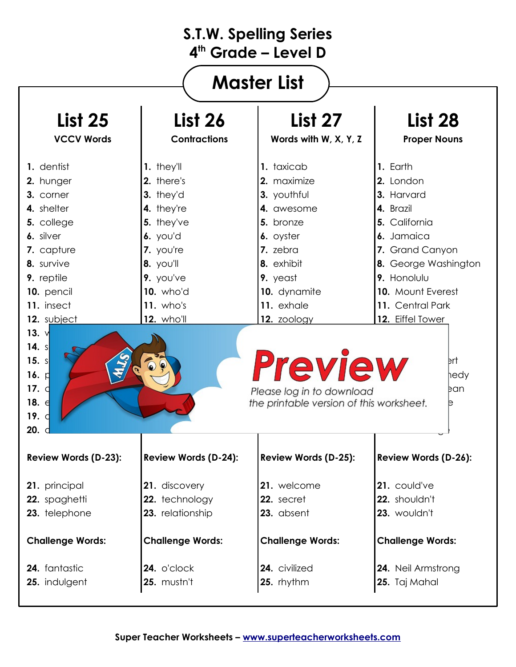| <b>Master List</b>                                                                                                                                                                   |                                                                                                                                                                                |                                                                                                                                                                     |                                                                                                                                                                                                        |  |
|--------------------------------------------------------------------------------------------------------------------------------------------------------------------------------------|--------------------------------------------------------------------------------------------------------------------------------------------------------------------------------|---------------------------------------------------------------------------------------------------------------------------------------------------------------------|--------------------------------------------------------------------------------------------------------------------------------------------------------------------------------------------------------|--|
| <b>List 25</b>                                                                                                                                                                       | <b>List 26</b>                                                                                                                                                                 | List 27                                                                                                                                                             | <b>List 28</b>                                                                                                                                                                                         |  |
| <b>VCCV Words</b>                                                                                                                                                                    | <b>Contractions</b>                                                                                                                                                            | Words with W, X, Y, Z                                                                                                                                               | <b>Proper Nouns</b>                                                                                                                                                                                    |  |
| 1. dentist<br>2. hunger<br>3. corner<br>4. shelter<br>5. college<br>6. silver<br>7. capture<br>8. survive<br>9. reptile<br>10. pencil<br>11. insect<br>12. subject<br>13. $\sqrt{ }$ | 1. they'll<br>2. there's<br>3. they'd<br>4. they're<br>5. they've<br>$6.$ you'd<br>7. you're<br>8. you'll<br>9. you've<br><b>10.</b> who'd<br>$11.$ who's<br><b>12.</b> who'll | 1. taxicab<br>2. maximize<br>3. youthful<br>4. awesome<br>5. bronze<br>6. oyster<br>7. zebra<br>8. exhibit<br>9. yeast<br>10. dynamite<br>11. exhale<br>12. zoology | 1. Earth<br>2. London<br>3. Harvard<br>4. Brazil<br>5. California<br>6. Jamaica<br>7. Grand Canyon<br>8. George Washington<br>9. Honolulu<br>10. Mount Everest<br>11. Central Park<br>12. Eiffel Tower |  |
| 14. $s$<br>15. s<br>16. $ $<br>17. $d$<br>18. $\epsilon$<br>19. $\mathsf{d}$<br><b>20.</b> d                                                                                         |                                                                                                                                                                                | <b>Preview</b><br>Please log in to download<br>the printable version of this worksheet.                                                                             | ert<br>hedy<br>þan<br>в                                                                                                                                                                                |  |
| <b>Review Words (D-23):</b>                                                                                                                                                          | Review Words (D-24):                                                                                                                                                           | <b>Review Words (D-25):</b>                                                                                                                                         | Review Words (D-26):                                                                                                                                                                                   |  |
| 21. principal                                                                                                                                                                        | 21. discovery                                                                                                                                                                  | 21. welcome                                                                                                                                                         | 21. could've                                                                                                                                                                                           |  |
| 22. spaghetti                                                                                                                                                                        | 22. technology                                                                                                                                                                 | 22. secret                                                                                                                                                          | 22. shouldn't                                                                                                                                                                                          |  |
| 23. telephone                                                                                                                                                                        | 23. relationship                                                                                                                                                               | 23. absent                                                                                                                                                          | 23. wouldn't                                                                                                                                                                                           |  |
| <b>Challenge Words:</b>                                                                                                                                                              | <b>Challenge Words:</b>                                                                                                                                                        | <b>Challenge Words:</b>                                                                                                                                             | <b>Challenge Words:</b>                                                                                                                                                                                |  |
| 24. fantastic                                                                                                                                                                        | 24. o'clock                                                                                                                                                                    | 24. civilized                                                                                                                                                       | 24. Neil Armstrong                                                                                                                                                                                     |  |
| 25. indulgent                                                                                                                                                                        | 25. mustn't                                                                                                                                                                    | 25. rhythm                                                                                                                                                          | 25. Taj Mahal                                                                                                                                                                                          |  |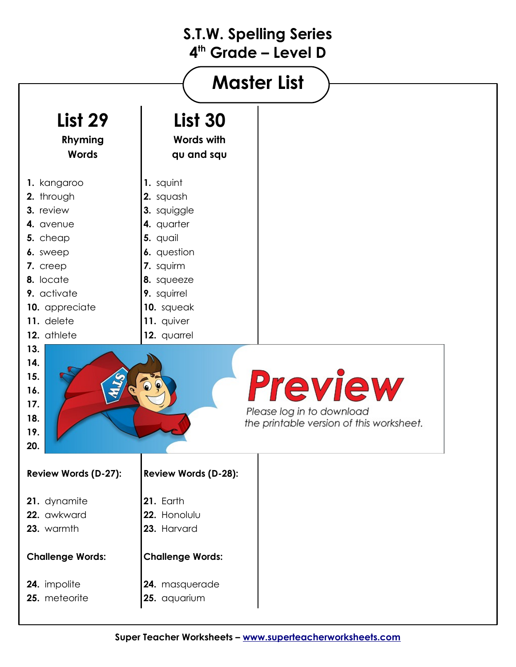| <b>Master List</b>      |                                          |  |  |
|-------------------------|------------------------------------------|--|--|
|                         |                                          |  |  |
| <b>List 29</b>          | <b>List 30</b>                           |  |  |
| Rhyming                 | <b>Words with</b>                        |  |  |
| <b>Words</b>            | qu and squ                               |  |  |
| 1. kangaroo             | 1. squint                                |  |  |
| 2. through              | 2. squash                                |  |  |
| 3. review               | 3. squiggle                              |  |  |
| 4. avenue               | 4. quarter                               |  |  |
| 5. cheap                | 5. quail                                 |  |  |
| 6. sweep                | 6. question                              |  |  |
| 7. creep                | 7. squirm                                |  |  |
| 8. locate               | 8. squeeze                               |  |  |
| 9. activate             | 9. squirrel                              |  |  |
| 10. appreciate          | 10. squeak                               |  |  |
| 11. delete              | 11. quiver                               |  |  |
| 12. athlete             | 12. quarrel                              |  |  |
| 13.                     |                                          |  |  |
| 14.<br>15.              |                                          |  |  |
| 16.                     | <b>Preview</b>                           |  |  |
| 17.                     |                                          |  |  |
| 18.                     | Please log in to download                |  |  |
| 19.                     | the printable version of this worksheet. |  |  |
| 20.                     |                                          |  |  |
|                         |                                          |  |  |
| Review Words (D-27):    | Review Words (D-28):                     |  |  |
| 21. dynamite            | 21. Earth                                |  |  |
| 22. awkward             | 22. Honolulu                             |  |  |
| 23. warmth              | 23. Harvard                              |  |  |
| <b>Challenge Words:</b> | <b>Challenge Words:</b>                  |  |  |
| 24. impolite            | 24. masquerade                           |  |  |
| 25. meteorite           | 25. aquarium                             |  |  |
|                         |                                          |  |  |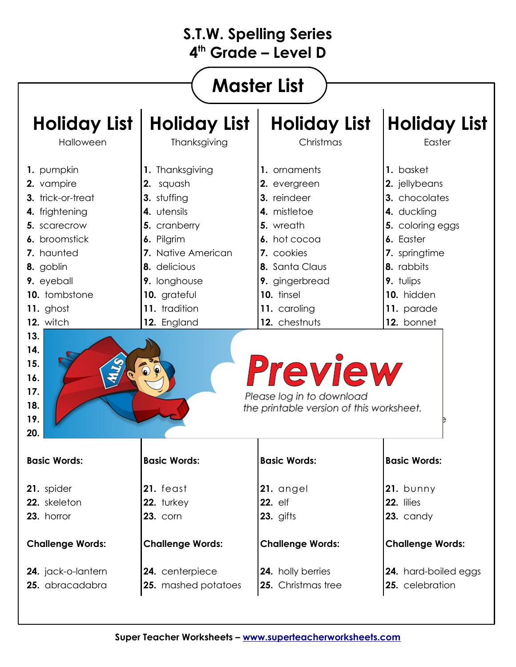| <b>S.T.W. Spelling Series</b><br>$4th$ Grade – Level D                                                                                                                                                                                       |                                                                                                                                                                                                |                                                                                                                                                                                                                                                                               |                                                                                                                                                                                   |  |  |
|----------------------------------------------------------------------------------------------------------------------------------------------------------------------------------------------------------------------------------------------|------------------------------------------------------------------------------------------------------------------------------------------------------------------------------------------------|-------------------------------------------------------------------------------------------------------------------------------------------------------------------------------------------------------------------------------------------------------------------------------|-----------------------------------------------------------------------------------------------------------------------------------------------------------------------------------|--|--|
| <b>Master List</b>                                                                                                                                                                                                                           |                                                                                                                                                                                                |                                                                                                                                                                                                                                                                               |                                                                                                                                                                                   |  |  |
| <b>Holiday List</b><br>Halloween                                                                                                                                                                                                             | <b>Holiday List</b><br>Thanksgiving                                                                                                                                                            | <b>Holiday List</b><br>Christmas                                                                                                                                                                                                                                              | <b>Holiday List</b><br>Easter                                                                                                                                                     |  |  |
| 1. pumpkin<br>2. vampire<br>3. trick-or-treat<br>4. frightening<br>5. scarecrow<br>6. broomstick<br>7. haunted<br>8. goblin<br>9. eyeball<br>10. tombstone<br>11. ghost<br>12. witch<br>13.<br>14.<br>15.<br>16.<br>17.<br>18.<br>19.<br>20. | 1. Thanksgiving<br>2. squash<br>3. stuffing<br>4. utensils<br>5. cranberry<br>6. Pilgrim<br>7. Native American<br>8. delicious<br>9. longhouse<br>10. grateful<br>11. tradition<br>12. England | 1. ornaments<br>2. evergreen<br>3. reindeer<br>4. mistletoe<br>5. wreath<br>6. hot cocoa<br>7. cookies<br>8. Santa Claus<br>9. gingerbread<br>10. tinsel<br>11. caroling<br>12. chestnuts<br>Preview<br>Please log in to download<br>the printable version of this worksheet. | 1. basket<br>2. jellybeans<br>3. chocolates<br>4. duckling<br>5. coloring eggs<br>6. Easter<br>7. springtime<br>8. rabbits<br>9. tulips<br>10. hidden<br>11. parade<br>12. bonnet |  |  |
| <b>Basic Words:</b>                                                                                                                                                                                                                          | <b>Basic Words:</b>                                                                                                                                                                            | <b>Basic Words:</b>                                                                                                                                                                                                                                                           | <b>Basic Words:</b>                                                                                                                                                               |  |  |
| 21. spider<br>22. skeleton<br>23. horror                                                                                                                                                                                                     | 21. feast<br>22. turkey<br><b>23. corn</b>                                                                                                                                                     | 21. angel<br>22. elf<br>$23.$ gifts                                                                                                                                                                                                                                           | $21.$ bunny<br>22. lilies<br>23. candy                                                                                                                                            |  |  |
| <b>Challenge Words:</b>                                                                                                                                                                                                                      | <b>Challenge Words:</b>                                                                                                                                                                        | <b>Challenge Words:</b>                                                                                                                                                                                                                                                       | <b>Challenge Words:</b>                                                                                                                                                           |  |  |
| 24. jack-o-lantern<br>25. abracadabra                                                                                                                                                                                                        | 24. centerpiece<br>25. mashed potatoes                                                                                                                                                         | 24. holly berries<br>25. Christmas tree                                                                                                                                                                                                                                       | <b>24.</b> hard-boiled eggs<br>25. celebration                                                                                                                                    |  |  |